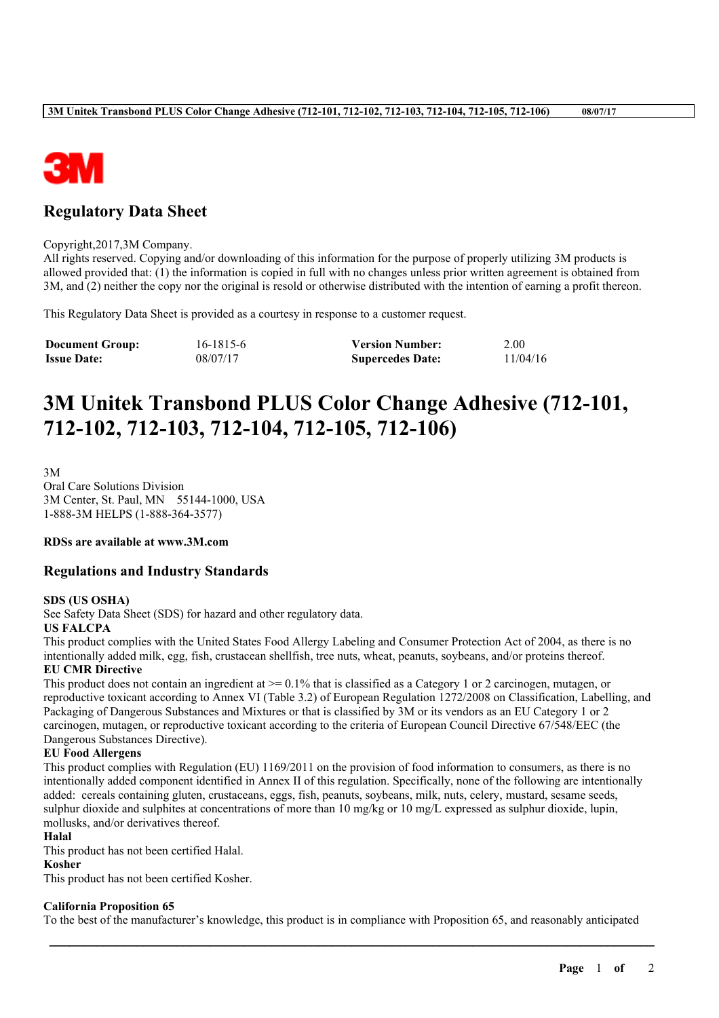

# **Regulatory Data Sheet**

#### Copyright,2017,3M Company.

All rights reserved. Copying and/or downloading of this information for the purpose of properly utilizing 3M products is allowed provided that: (1) the information is copied in full with no changes unless prior written agreement is obtained from 3M, and (2) neither the copy nor the original is resold or otherwise distributed with the intention of earning a profit thereon.

This Regulatory Data Sheet is provided as a courtesy in response to a customer request.

| <b>Document Group:</b> | 16-1815-6 | <b>Version Number:</b>  | 2.00     |
|------------------------|-----------|-------------------------|----------|
| <b>Issue Date:</b>     | 08/07/17  | <b>Supercedes Date:</b> | 11/04/16 |

# **3M Unitek Transbond PLUS Color Change Adhesive (712-101, 712-102, 712-103, 712-104, 712-105, 712-106)**

3M Oral Care Solutions Division 3M Center, St. Paul, MN 55144-1000, USA 1-888-3M HELPS (1-888-364-3577)

#### **RDSs are available at www.3M.com**

#### **Regulations and Industry Standards**

#### **SDS (US OSHA)**

See Safety Data Sheet (SDS) for hazard and other regulatory data.

#### **US FALCPA**

This product complies with the United States Food Allergy Labeling and Consumer Protection Act of 2004, as there is no intentionally added milk, egg, fish, crustacean shellfish, tree nuts, wheat, peanuts, soybeans, and/or proteins thereof. **EU CMR Directive**

This product does not contain an ingredient at  $\ge$  = 0.1% that is classified as a Category 1 or 2 carcinogen, mutagen, or reproductive toxicant according to Annex VI (Table 3.2) of European Regulation 1272/2008 on Classification, Labelling, and Packaging of Dangerous Substances and Mixtures or that is classified by 3M or its vendors as an EU Category 1 or 2 carcinogen, mutagen, or reproductive toxicant according to the criteria of European Council Directive 67/548/EEC (the Dangerous Substances Directive).

#### **EU Food Allergens**

This product complies with Regulation (EU) 1169/2011 on the provision of food information to consumers, as there is no intentionally added component identified in Annex II of this regulation. Specifically, none of the following are intentionally added: cereals containing gluten, crustaceans, eggs, fish, peanuts, soybeans, milk, nuts, celery, mustard, sesame seeds, sulphur dioxide and sulphites at concentrations of more than 10 mg/kg or 10 mg/L expressed as sulphur dioxide, lupin, mollusks, and/or derivatives thereof.

#### **Halal**

This product has not been certified Halal.

## **Kosher**

This product has not been certified Kosher.

## **California Proposition 65**

To the best of the manufacturer's knowledge, this product is in compliance with Proposition 65, and reasonably anticipated

\_\_\_\_\_\_\_\_\_\_\_\_\_\_\_\_\_\_\_\_\_\_\_\_\_\_\_\_\_\_\_\_\_\_\_\_\_\_\_\_\_\_\_\_\_\_\_\_\_\_\_\_\_\_\_\_\_\_\_\_\_\_\_\_\_\_\_\_\_\_\_\_\_\_\_\_\_\_\_\_\_\_\_\_\_\_\_\_\_\_